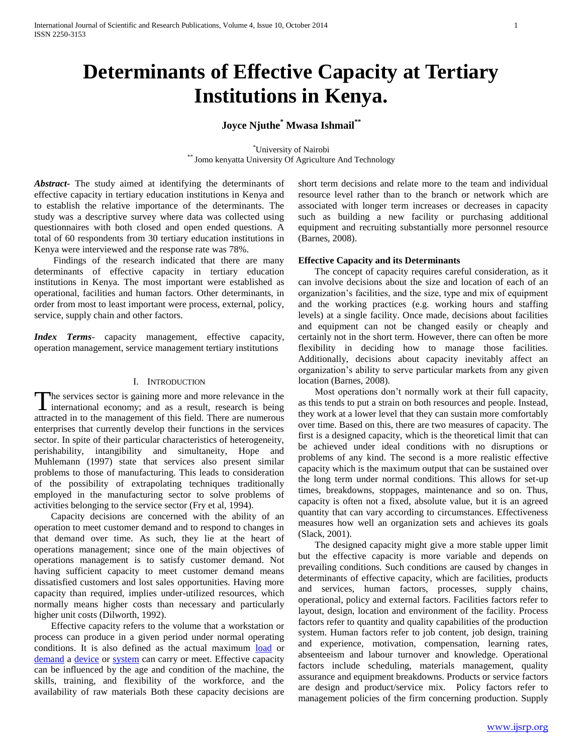# **Determinants of Effective Capacity at Tertiary Institutions in Kenya.**

## **Joyce Njuthe\* Mwasa Ishmail\*\***

\*University of Nairobi \*\* Jomo kenyatta University Of Agriculture And Technology

*Abstract***-** The study aimed at identifying the determinants of effective capacity in tertiary education institutions in Kenya and to establish the relative importance of the determinants. The study was a descriptive survey where data was collected using questionnaires with both closed and open ended questions. A total of 60 respondents from 30 tertiary education institutions in Kenya were interviewed and the response rate was 78%.

 Findings of the research indicated that there are many determinants of effective capacity in tertiary education institutions in Kenya. The most important were established as operational, facilities and human factors. Other determinants, in order from most to least important were process, external, policy, service, supply chain and other factors.

*Index Terms*- capacity management, effective capacity, operation management, service management tertiary institutions

#### I. INTRODUCTION

he services sector is gaining more and more relevance in the The services sector is gaining more and more relevance in the international economy; and as a result, research is being attracted in to the management of this field. There are numerous enterprises that currently develop their functions in the services sector. In spite of their particular characteristics of heterogeneity, perishability, intangibility and simultaneity, Hope and Muhlemann (1997) state that services also present similar problems to those of manufacturing. This leads to consideration of the possibility of extrapolating techniques traditionally employed in the manufacturing sector to solve problems of activities belonging to the service sector (Fry et al, 1994).

 Capacity decisions are concerned with the ability of an operation to meet customer demand and to respond to changes in that demand over time. As such, they lie at the heart of operations management; since one of the main objectives of operations management is to satisfy customer demand. Not having sufficient capacity to meet customer demand means dissatisfied customers and lost sales opportunities. Having more capacity than required, implies under-utilized resources, which normally means higher costs than necessary and particularly higher unit costs (Dilworth, 1992).

 Effective capacity refers to the volume that a workstation or process can produce in a given period under normal operating conditions. It is also defined as the actual maximum [load](http://www.businessdictionary.com/definition/load.html) or [demand](http://www.businessdictionary.com/definition/demand.html) a [device](http://www.businessdictionary.com/definition/device.html) or [system](http://www.businessdictionary.com/definition/system.html) can carry or meet. Effective capacity can be influenced by the age and condition of the machine, the skills, training, and flexibility of the workforce, and the availability of raw materials Both these capacity decisions are short term decisions and relate more to the team and individual resource level rather than to the branch or network which are associated with longer term increases or decreases in capacity such as building a new facility or purchasing additional equipment and recruiting substantially more personnel resource (Barnes, 2008).

#### **Effective Capacity and its Determinants**

 The concept of capacity requires careful consideration, as it can involve decisions about the size and location of each of an organization's facilities, and the size, type and mix of equipment and the working practices (e.g. working hours and staffing levels) at a single facility. Once made, decisions about facilities and equipment can not be changed easily or cheaply and certainly not in the short term. However, there can often be more flexibility in deciding how to manage those facilities. Additionally, decisions about capacity inevitably affect an organization's ability to serve particular markets from any given location (Barnes, 2008).

 Most operations don't normally work at their full capacity, as this tends to put a strain on both resources and people. Instead, they work at a lower level that they can sustain more comfortably over time. Based on this, there are two measures of capacity. The first is a designed capacity, which is the theoretical limit that can be achieved under ideal conditions with no disruptions or problems of any kind. The second is a more realistic effective capacity which is the maximum output that can be sustained over the long term under normal conditions. This allows for set-up times, breakdowns, stoppages, maintenance and so on. Thus, capacity is often not a fixed, absolute value, but it is an agreed quantity that can vary according to circumstances. Effectiveness measures how well an organization sets and achieves its goals (Slack, 2001).

 The designed capacity might give a more stable upper limit but the effective capacity is more variable and depends on prevailing conditions. Such conditions are caused by changes in determinants of effective capacity, which are facilities, products and services, human factors, processes, supply chains, operational, policy and external factors. Facilities factors refer to layout, design, location and environment of the facility. Process factors refer to quantity and quality capabilities of the production system. Human factors refer to job content, job design, training and experience, motivation, compensation, learning rates, absenteeism and labour turnover and knowledge. Operational factors include scheduling, materials management, quality assurance and equipment breakdowns. Products or service factors are design and product/service mix. Policy factors refer to management policies of the firm concerning production. Supply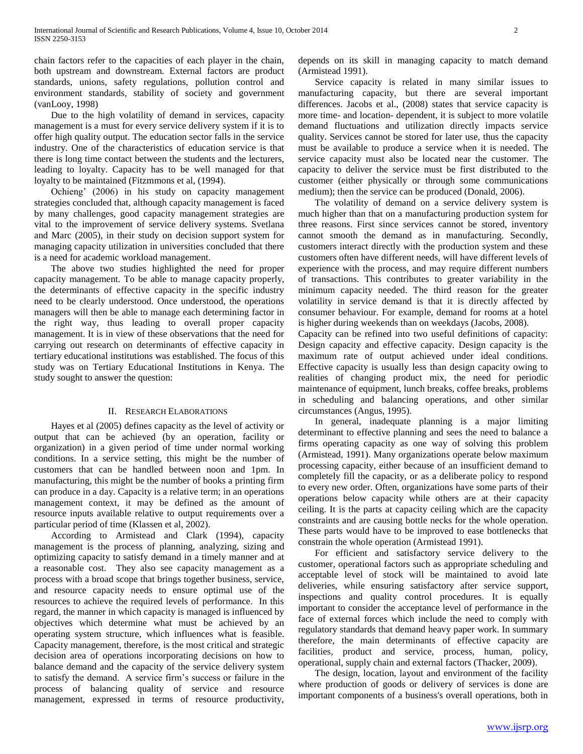chain factors refer to the capacities of each player in the chain, both upstream and downstream. External factors are product standards, unions, safety regulations, pollution control and environment standards, stability of society and government (vanLooy, 1998)

 Due to the high volatility of demand in services, capacity management is a must for every service delivery system if it is to offer high quality output. The education sector falls in the service industry. One of the characteristics of education service is that there is long time contact between the students and the lecturers, leading to loyalty. Capacity has to be well managed for that loyalty to be maintained (Fitzmmons et al, (1994).

 Ochieng' (2006) in his study on capacity management strategies concluded that, although capacity management is faced by many challenges, good capacity management strategies are vital to the improvement of service delivery systems. Svetlana and Marc (2005), in their study on decision support system for managing capacity utilization in universities concluded that there is a need for academic workload management.

 The above two studies highlighted the need for proper capacity management. To be able to manage capacity properly, the determinants of effective capacity in the specific industry need to be clearly understood. Once understood, the operations managers will then be able to manage each determining factor in the right way, thus leading to overall proper capacity management. It is in view of these observations that the need for carrying out research on determinants of effective capacity in tertiary educational institutions was established. The focus of this study was on Tertiary Educational Institutions in Kenya. The study sought to answer the question:

## II. RESEARCH ELABORATIONS

 Hayes et al (2005) defines capacity as the level of activity or output that can be achieved (by an operation, facility or organization) in a given period of time under normal working conditions. In a service setting, this might be the number of customers that can be handled between noon and 1pm. In manufacturing, this might be the number of books a printing firm can produce in a day. Capacity is a relative term; in an operations management context, it may be defined as the amount of resource inputs available relative to output requirements over a particular period of time (Klassen et al, 2002).

 According to Armistead and Clark (1994), capacity management is the process of planning, analyzing, sizing and optimizing capacity to satisfy demand in a timely manner and at a reasonable cost. They also see capacity management as a process with a broad scope that brings together business, service, and resource capacity needs to ensure optimal use of the resources to achieve the required levels of performance. In this regard, the manner in which capacity is managed is influenced by objectives which determine what must be achieved by an operating system structure, which influences what is feasible. Capacity management, therefore, is the most critical and strategic decision area of operations incorporating decisions on how to balance demand and the capacity of the service delivery system to satisfy the demand. A service firm's success or failure in the process of balancing quality of service and resource management, expressed in terms of resource productivity,

depends on its skill in managing capacity to match demand (Armistead 1991).

 Service capacity is related in many similar issues to manufacturing capacity, but there are several important differences. Jacobs et al., (2008) states that service capacity is more time- and location- dependent, it is subject to more volatile demand fluctuations and utilization directly impacts service quality. Services cannot be stored for later use, thus the capacity must be available to produce a service when it is needed. The service capacity must also be located near the customer. The capacity to deliver the service must be first distributed to the customer (either physically or through some communications medium); then the service can be produced (Donald, 2006).

 The volatility of demand on a service delivery system is much higher than that on a manufacturing production system for three reasons. First since services cannot be stored, inventory cannot smooth the demand as in manufacturing. Secondly, customers interact directly with the production system and these customers often have different needs, will have different levels of experience with the process, and may require different numbers of transactions. This contributes to greater variability in the minimum capacity needed. The third reason for the greater volatility in service demand is that it is directly affected by consumer behaviour. For example, demand for rooms at a hotel is higher during weekends than on weekdays (Jacobs, 2008).

Capacity can be refined into two useful definitions of capacity: Design capacity and effective capacity. Design capacity is the maximum rate of output achieved under ideal conditions. Effective capacity is usually less than design capacity owing to realities of changing product mix, the need for periodic maintenance of equipment, lunch breaks, coffee breaks, problems in scheduling and balancing operations, and other similar circumstances (Angus, 1995).

 In general, inadequate planning is a major limiting determinant to effective planning and sees the need to balance a firms operating capacity as one way of solving this problem (Armistead, 1991). Many organizations operate below maximum processing capacity, either because of an insufficient demand to completely fill the capacity, or as a deliberate policy to respond to every new order. Often, organizations have some parts of their operations below capacity while others are at their capacity ceiling. It is the parts at capacity ceiling which are the capacity constraints and are causing bottle necks for the whole operation. These parts would have to be improved to ease bottlenecks that constrain the whole operation (Armistead 1991).

 For efficient and satisfactory service delivery to the customer, operational factors such as appropriate scheduling and acceptable level of stock will be maintained to avoid late deliveries, while ensuring satisfactory after service support, inspections and quality control procedures. It is equally important to consider the acceptance level of performance in the face of external forces which include the need to comply with regulatory standards that demand heavy paper work. In summary therefore, the main determinants of effective capacity are facilities, product and service, process, human, policy, operational, supply chain and external factors (Thacker, 2009).

 The design, location, layout and environment of the facility where production of goods or delivery of services is done are important components of a business's overall operations, both in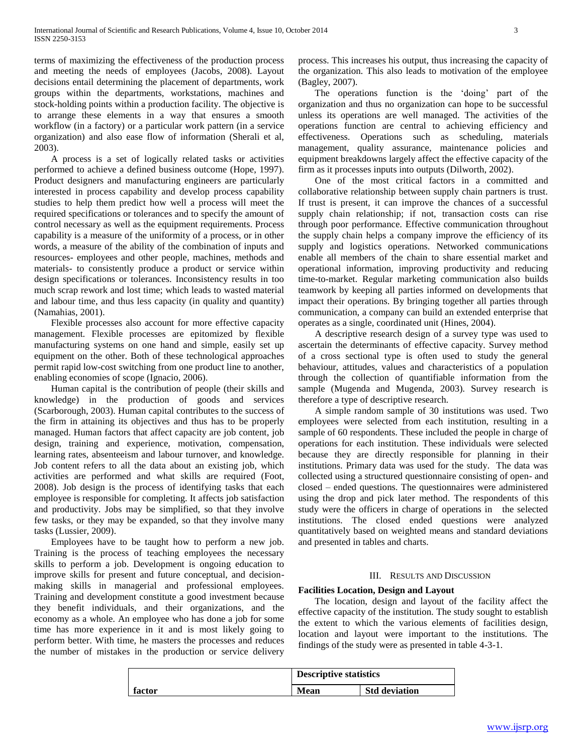terms of maximizing the effectiveness of the production process and meeting the needs of employees (Jacobs, 2008). Layout decisions entail determining the placement of departments, work groups within the departments, workstations, machines and stock-holding points within a production facility. The objective is to arrange these elements in a way that ensures a smooth workflow (in a factory) or a particular work pattern (in a service organization) and also ease flow of information (Sherali et al, 2003).

 A process is a set of logically related tasks or activities performed to achieve a defined business outcome (Hope, 1997). Product designers and manufacturing engineers are particularly interested in process capability and develop process capability studies to help them predict how well a process will meet the required specifications or tolerances and to specify the amount of control necessary as well as the equipment requirements. Process capability is a measure of the uniformity of a process, or in other words, a measure of the ability of the combination of inputs and resources- employees and other people, machines, methods and materials- to consistently produce a product or service within design specifications or tolerances. Inconsistency results in too much scrap rework and lost time; which leads to wasted material and labour time, and thus less capacity (in quality and quantity) (Namahias, 2001).

 Flexible processes also account for more effective capacity management. Flexible processes are epitomized by flexible manufacturing systems on one hand and simple, easily set up equipment on the other. Both of these technological approaches permit rapid low-cost switching from one product line to another, enabling economies of scope (Ignacio, 2006).

 Human capital is the contribution of people (their skills and knowledge) in the production of goods and services (Scarborough, 2003). Human capital contributes to the success of the firm in attaining its objectives and thus has to be properly managed. Human factors that affect capacity are job content, job design, training and experience, motivation, compensation, learning rates, absenteeism and labour turnover, and knowledge. Job content refers to all the data about an existing job, which activities are performed and what skills are required (Foot, 2008). Job design is the process of identifying tasks that each employee is responsible for completing. It affects job satisfaction and productivity. Jobs may be simplified, so that they involve few tasks, or they may be expanded, so that they involve many tasks (Lussier, 2009).

 Employees have to be taught how to perform a new job. Training is the process of teaching employees the necessary skills to perform a job. Development is ongoing education to improve skills for present and future conceptual, and decisionmaking skills in managerial and professional employees. Training and development constitute a good investment because they benefit individuals, and their organizations, and the economy as a whole. An employee who has done a job for some time has more experience in it and is most likely going to perform better. With time, he masters the processes and reduces the number of mistakes in the production or service delivery

process. This increases his output, thus increasing the capacity of the organization. This also leads to motivation of the employee (Bagley, 2007).

 The operations function is the 'doing' part of the organization and thus no organization can hope to be successful unless its operations are well managed. The activities of the operations function are central to achieving efficiency and effectiveness. Operations such as scheduling, materials management, quality assurance, maintenance policies and equipment breakdowns largely affect the effective capacity of the firm as it processes inputs into outputs (Dilworth, 2002).

 One of the most critical factors in a committed and collaborative relationship between supply chain partners is trust. If trust is present, it can improve the chances of a successful supply chain relationship; if not, transaction costs can rise through poor performance. Effective communication throughout the supply chain helps a company improve the efficiency of its supply and logistics operations. Networked communications enable all members of the chain to share essential market and operational information, improving productivity and reducing time-to-market. Regular marketing communication also builds teamwork by keeping all parties informed on developments that impact their operations. By bringing together all parties through communication, a company can build an extended enterprise that operates as a single, coordinated unit (Hines, 2004).

 A descriptive research design of a survey type was used to ascertain the determinants of effective capacity. Survey method of a cross sectional type is often used to study the general behaviour, attitudes, values and characteristics of a population through the collection of quantifiable information from the sample (Mugenda and Mugenda, 2003). Survey research is therefore a type of descriptive research.

 A simple random sample of 30 institutions was used. Two employees were selected from each institution, resulting in a sample of 60 respondents. These included the people in charge of operations for each institution. These individuals were selected because they are directly responsible for planning in their institutions. Primary data was used for the study. The data was collected using a structured questionnaire consisting of open- and closed – ended questions. The questionnaires were administered using the drop and pick later method. The respondents of this study were the officers in charge of operations in the selected institutions. The closed ended questions were analyzed quantitatively based on weighted means and standard deviations and presented in tables and charts.

#### III. RESULTS AND DISCUSSION

### **Facilities Location, Design and Layout**

 The location, design and layout of the facility affect the effective capacity of the institution. The study sought to establish the extent to which the various elements of facilities design, location and layout were important to the institutions. The findings of the study were as presented in table 4-3-1.

|        | <b>Descriptive statistics</b> |                      |
|--------|-------------------------------|----------------------|
| factor | <b>Mean</b>                   | <b>Std deviation</b> |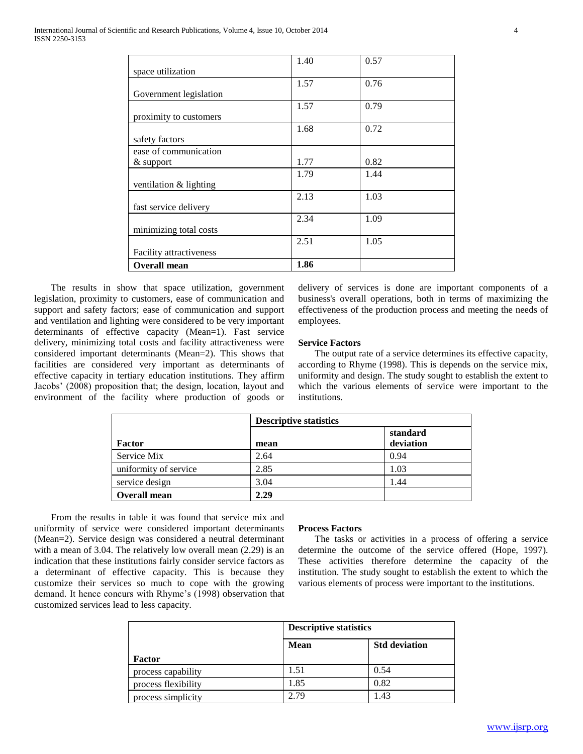|                          | 1.40 | 0.57 |
|--------------------------|------|------|
| space utilization        |      |      |
|                          | 1.57 | 0.76 |
| Government legislation   |      |      |
|                          | 1.57 | 0.79 |
| proximity to customers   |      |      |
|                          | 1.68 | 0.72 |
| safety factors           |      |      |
| ease of communication    |      |      |
| & support                | 1.77 | 0.82 |
|                          | 1.79 | 1.44 |
| ventilation $&$ lighting |      |      |
|                          | 2.13 | 1.03 |
| fast service delivery    |      |      |
|                          | 2.34 | 1.09 |
| minimizing total costs   |      |      |
|                          | 2.51 | 1.05 |
| Facility attractiveness  |      |      |
| <b>Overall mean</b>      | 1.86 |      |

 The results in show that space utilization, government legislation, proximity to customers, ease of communication and support and safety factors; ease of communication and support and ventilation and lighting were considered to be very important determinants of effective capacity (Mean=1). Fast service delivery, minimizing total costs and facility attractiveness were considered important determinants (Mean=2). This shows that facilities are considered very important as determinants of effective capacity in tertiary education institutions. They affirm Jacobs' (2008) proposition that; the design, location, layout and environment of the facility where production of goods or

delivery of services is done are important components of a business's overall operations, both in terms of maximizing the effectiveness of the production process and meeting the needs of employees.

#### **Service Factors**

 The output rate of a service determines its effective capacity, according to Rhyme (1998). This is depends on the service mix, uniformity and design. The study sought to establish the extent to which the various elements of service were important to the institutions.

|                       | <b>Descriptive statistics</b> |                       |
|-----------------------|-------------------------------|-----------------------|
| Factor                | mean                          | standard<br>deviation |
| Service Mix           | 2.64                          | 0.94                  |
| uniformity of service | 2.85                          | 1.03                  |
| service design        | 3.04                          | 1.44                  |
| <b>Overall mean</b>   | 2.29                          |                       |

 From the results in table it was found that service mix and uniformity of service were considered important determinants (Mean=2). Service design was considered a neutral determinant with a mean of 3.04. The relatively low overall mean (2.29) is an indication that these institutions fairly consider service factors as a determinant of effective capacity. This is because they customize their services so much to cope with the growing demand. It hence concurs with Rhyme's (1998) observation that customized services lead to less capacity.

#### **Process Factors**

 The tasks or activities in a process of offering a service determine the outcome of the service offered (Hope, 1997). These activities therefore determine the capacity of the institution. The study sought to establish the extent to which the various elements of process were important to the institutions.

|                     |      | <b>Descriptive statistics</b><br><b>Mean</b><br><b>Std deviation</b> |  |
|---------------------|------|----------------------------------------------------------------------|--|
|                     |      |                                                                      |  |
| Factor              |      |                                                                      |  |
| process capability  | 1.51 | 0.54                                                                 |  |
| process flexibility | 1.85 | 0.82                                                                 |  |
| process simplicity  | 2.79 | 1.43                                                                 |  |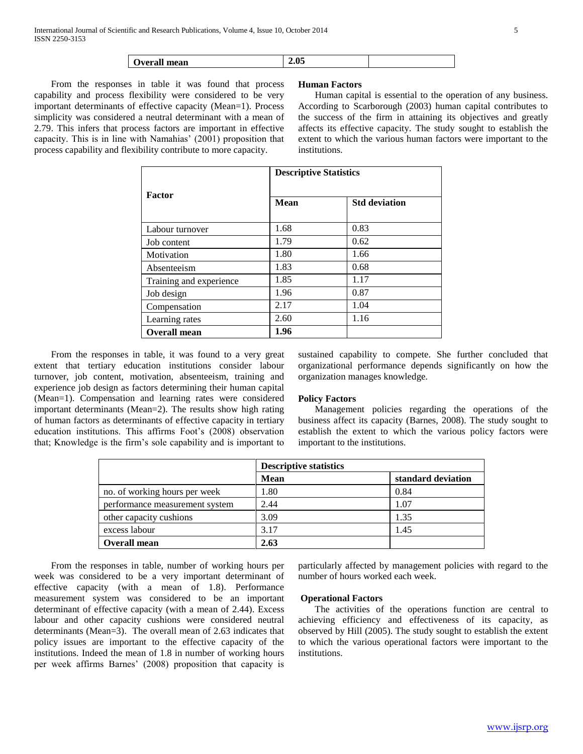| --<br><b>)verall</b><br>mean |  |  |
|------------------------------|--|--|
|------------------------------|--|--|

 From the responses in table it was found that process capability and process flexibility were considered to be very important determinants of effective capacity (Mean=1). Process simplicity was considered a neutral determinant with a mean of 2.79. This infers that process factors are important in effective capacity. This is in line with Namahias' (2001) proposition that process capability and flexibility contribute to more capacity.

#### **Human Factors**

 Human capital is essential to the operation of any business. According to Scarborough (2003) human capital contributes to the success of the firm in attaining its objectives and greatly affects its effective capacity. The study sought to establish the extent to which the various human factors were important to the institutions.

|                         | <b>Descriptive Statistics</b> |                      |  |
|-------------------------|-------------------------------|----------------------|--|
| <b>Factor</b>           | <b>Mean</b>                   | <b>Std deviation</b> |  |
| Labour turnover         | 1.68                          | 0.83                 |  |
| Job content             | 1.79                          | 0.62                 |  |
| Motivation              | 1.80                          | 1.66                 |  |
| Absenteeism             | 1.83                          | 0.68                 |  |
| Training and experience | 1.85                          | 1.17                 |  |
| Job design              | 1.96                          | 0.87                 |  |
| Compensation            | 2.17                          | 1.04                 |  |
| Learning rates          | 2.60                          | 1.16                 |  |
| <b>Overall mean</b>     | 1.96                          |                      |  |

 From the responses in table, it was found to a very great extent that tertiary education institutions consider labour turnover, job content, motivation, absenteeism, training and experience job design as factors determining their human capital (Mean=1). Compensation and learning rates were considered important determinants (Mean=2). The results show high rating of human factors as determinants of effective capacity in tertiary education institutions. This affirms Foot's (2008) observation that; Knowledge is the firm's sole capability and is important to

sustained capability to compete. She further concluded that organizational performance depends significantly on how the organization manages knowledge.

### **Policy Factors**

 Management policies regarding the operations of the business affect its capacity (Barnes, 2008). The study sought to establish the extent to which the various policy factors were important to the institutions.

|                                | <b>Descriptive statistics</b> |                    |
|--------------------------------|-------------------------------|--------------------|
|                                | Mean                          | standard deviation |
| no. of working hours per week  | 1.80                          | 0.84               |
| performance measurement system | 2.44                          | 1.07               |
| other capacity cushions        | 3.09                          | 1.35               |
| excess labour                  | 3.17                          | 1.45               |
| <b>Overall mean</b>            | 2.63                          |                    |

 From the responses in table, number of working hours per week was considered to be a very important determinant of effective capacity (with a mean of 1.8). Performance measurement system was considered to be an important determinant of effective capacity (with a mean of 2.44). Excess labour and other capacity cushions were considered neutral determinants (Mean=3). The overall mean of 2.63 indicates that policy issues are important to the effective capacity of the institutions. Indeed the mean of 1.8 in number of working hours per week affirms Barnes' (2008) proposition that capacity is

particularly affected by management policies with regard to the number of hours worked each week.

#### **Operational Factors**

 The activities of the operations function are central to achieving efficiency and effectiveness of its capacity, as observed by Hill (2005). The study sought to establish the extent to which the various operational factors were important to the institutions.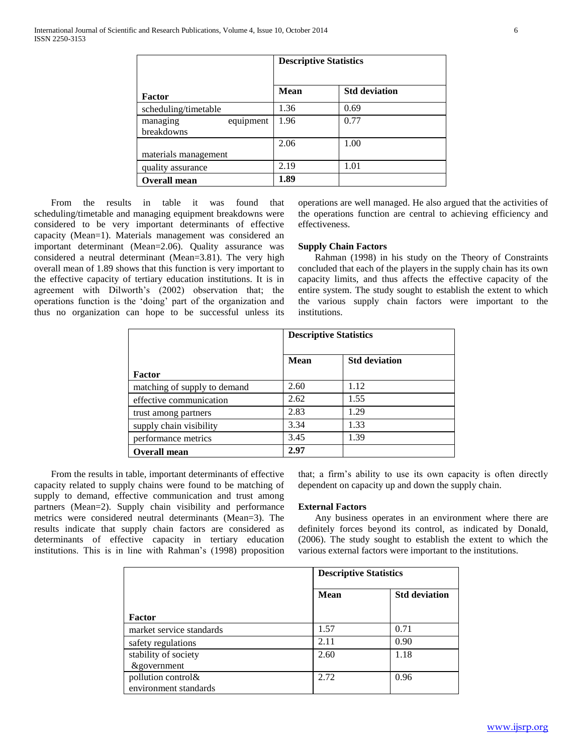|                                     | <b>Descriptive Statistics</b> |                      |
|-------------------------------------|-------------------------------|----------------------|
| Factor                              | <b>Mean</b>                   | <b>Std deviation</b> |
| scheduling/timetable                | 1.36                          | 0.69                 |
| equipment<br>managing<br>breakdowns | 1.96                          | 0.77                 |
| materials management                | 2.06                          | 1.00                 |
| quality assurance                   | 2.19                          | 1.01                 |
| <b>Overall mean</b>                 | 1.89                          |                      |

 From the results in table it was found that scheduling/timetable and managing equipment breakdowns were considered to be very important determinants of effective capacity (Mean=1). Materials management was considered an important determinant (Mean=2.06). Quality assurance was considered a neutral determinant (Mean=3.81). The very high overall mean of 1.89 shows that this function is very important to the effective capacity of tertiary education institutions. It is in agreement with Dilworth's (2002) observation that; the operations function is the 'doing' part of the organization and thus no organization can hope to be successful unless its operations are well managed. He also argued that the activities of the operations function are central to achieving efficiency and effectiveness.

#### **Supply Chain Factors**

 Rahman (1998) in his study on the Theory of Constraints concluded that each of the players in the supply chain has its own capacity limits, and thus affects the effective capacity of the entire system. The study sought to establish the extent to which the various supply chain factors were important to the institutions.

|                              | <b>Descriptive Statistics</b> |                      |
|------------------------------|-------------------------------|----------------------|
|                              | <b>Mean</b>                   | <b>Std deviation</b> |
| Factor                       |                               |                      |
| matching of supply to demand | 2.60                          | 1.12                 |
| effective communication      | 2.62                          | 1.55                 |
| trust among partners         | 2.83                          | 1.29                 |
| supply chain visibility      | 3.34                          | 1.33                 |
| performance metrics          | 3.45                          | 1.39                 |
| <b>Overall mean</b>          | 2.97                          |                      |

 From the results in table, important determinants of effective capacity related to supply chains were found to be matching of supply to demand, effective communication and trust among partners (Mean=2). Supply chain visibility and performance metrics were considered neutral determinants (Mean=3). The results indicate that supply chain factors are considered as determinants of effective capacity in tertiary education institutions. This is in line with Rahman's (1998) proposition

that; a firm's ability to use its own capacity is often directly dependent on capacity up and down the supply chain.

#### **External Factors**

 Any business operates in an environment where there are definitely forces beyond its control, as indicated by Donald, (2006). The study sought to establish the extent to which the various external factors were important to the institutions.

|                          |             | <b>Descriptive Statistics</b> |  |
|--------------------------|-------------|-------------------------------|--|
|                          | <b>Mean</b> | <b>Std deviation</b>          |  |
| Factor                   |             |                               |  |
| market service standards | 1.57        | 0.71                          |  |
| safety regulations       | 2.11        | 0.90                          |  |
| stability of society     | 2.60        | 1.18                          |  |
| <i>&amp;government</i>   |             |                               |  |
| pollution control&       | 2.72        | 0.96                          |  |
| environment standards    |             |                               |  |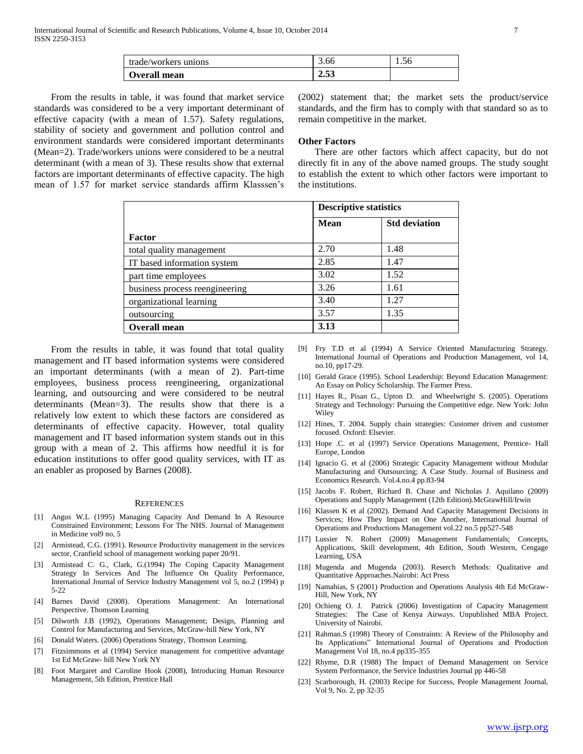| trade/workers unions | 3.00 | 1.56 |
|----------------------|------|------|
| Overall mean         | 2.53 |      |

 From the results in table, it was found that market service standards was considered to be a very important determinant of effective capacity (with a mean of 1.57). Safety regulations, stability of society and government and pollution control and environment standards were considered important determinants (Mean=2). Trade/workers unions were considered to be a neutral determinant (with a mean of 3). These results show that external factors are important determinants of effective capacity. The high mean of 1.57 for market service standards affirm Klasssen's

(2002) statement that; the market sets the product/service standards, and the firm has to comply with that standard so as to remain competitive in the market.

#### **Other Factors**

 There are other factors which affect capacity, but do not directly fit in any of the above named groups. The study sought to establish the extent to which other factors were important to the institutions.

|                                | <b>Descriptive statistics</b> |                      |
|--------------------------------|-------------------------------|----------------------|
|                                | Mean                          | <b>Std deviation</b> |
| Factor                         |                               |                      |
| total quality management       | 2.70                          | 1.48                 |
| IT based information system    | 2.85                          | 1.47                 |
| part time employees            | 3.02                          | 1.52                 |
| business process reengineering | 3.26                          | 1.61                 |
| organizational learning        | 3.40                          | 1.27                 |
| outsourcing                    | 3.57                          | 1.35                 |
| <b>Overall mean</b>            | 3.13                          |                      |

 From the results in table, it was found that total quality management and IT based information systems were considered an important determinants (with a mean of 2). Part-time employees, business process reengineering, organizational learning, and outsourcing and were considered to be neutral determinants (Mean=3). The results show that there is a relatively low extent to which these factors are considered as determinants of effective capacity. However, total quality management and IT based information system stands out in this group with a mean of 2. This affirms how needful it is for education institutions to offer good quality services, with IT as an enabler as proposed by Barnes (2008).

#### **REFERENCES**

- [1] Angus W.L (1995) Managing Capacity And Demand In A Resource Constrained Environment; Lessons For The NHS. Journal of Management in Medicine vol9 no, 5
- [2] Armistead, C.G. (1991). Resource Productivity management in the services sector, Cranfield school of management working paper 20/91.
- [3] Armistead C. G., Clark, G.(1994) The Coping Capacity Management Strategy In Services And The Influence On Quality Performance, International Journal of Service Industry Management vol 5, no.2 (1994) p 5-22
- [4] Barnes David (2008). Operations Management: An International Perspective. Thomson Learning
- [5] Dilworth J.B (1992), Operations Management; Design, Planning and Control for Manufacturing and Services, McGraw-hill New York, NY
- [6] Donald Waters. (2006) Operations Strategy, Thomson Learning.
- [7] Fitzsimmons et al (1994) Service management for competitive advantage 1st Ed McGraw- hill New York NY
- [8] Foot Margaret and Caroline Hook (2008), Introducing Human Resource Management, 5th Edition, Prentice Hall
- [9] Fry T.D et al (1994) A Service Oriented Manufacturing Strategy. International Journal of Operations and Production Management, vol 14, no.10, pp17-29.
- [10] Gerald Grace (1995). School Leadership: Beyond Education Management: An Essay on Policy Scholarship. The Farmer Press.
- [11] Hayes R., Pisan G., Upton D. and Wheelwright S. (2005). Operations Strategy and Technology: Pursuing the Competitive edge. New York: John Wiley
- [12] Hines, T. 2004. Supply chain strategies: Customer driven and customer focused. Oxford: Elsevier.
- [13] Hope .C. et al (1997) Service Operations Management, Prentice- Hall Europe, London
- [14] Ignacio G. et al (2006) Strategic Capacity Management without Modular Manufacturing and Outsourcing; A Case Study. Journal of Business and Economics Research. Vol.4.no.4 pp.83-94
- [15] Jacobs F. Robert, Richard B. Chase and Nicholas J. Aquilano (2009) Operations and Supply Management (12th Edition).McGrawHill/Irwin
- [16] Klassen K et al (2002). Demand And Capacity Management Decisions in Services; How They Impact on One Another, International Journal of Operations and Productions Management vol.22 no.5 pp527-548
- [17] Lussier N. Robert (2009) Management Fundamentals; Concepts, Applications, Skill development, 4th Edition, South Western, Cengage Learning, USA
- [18] Mugenda and Mugenda (2003). Reserch Methods: Qualitative and Quantitative Approaches.Nairobi: Act Press
- [19] Namahias, S (2001) Production and Operations Analysis 4th Ed McGraw-Hill, New York, NY
- [20] Ochieng O. J. Patrick (2006) Investigation of Capacity Management Strategies: The Case of Kenya Airways. Unpublished MBA Project. University of Nairobi.
- [21] Rahman.S (1998) Theory of Constraints: A Review of the Philosophy and Its Applications" International Journal of Operations and Production Management Vol 18, no.4 pp335-355
- [22] Rhyme, D.R (1988) The Impact of Demand Management on Service System Performance, the Service Industries Journal pp 446-58
- [23] Scarborough, H. (2003) Recipe for Success, People Management Journal, Vol 9, No. 2, pp 32-35